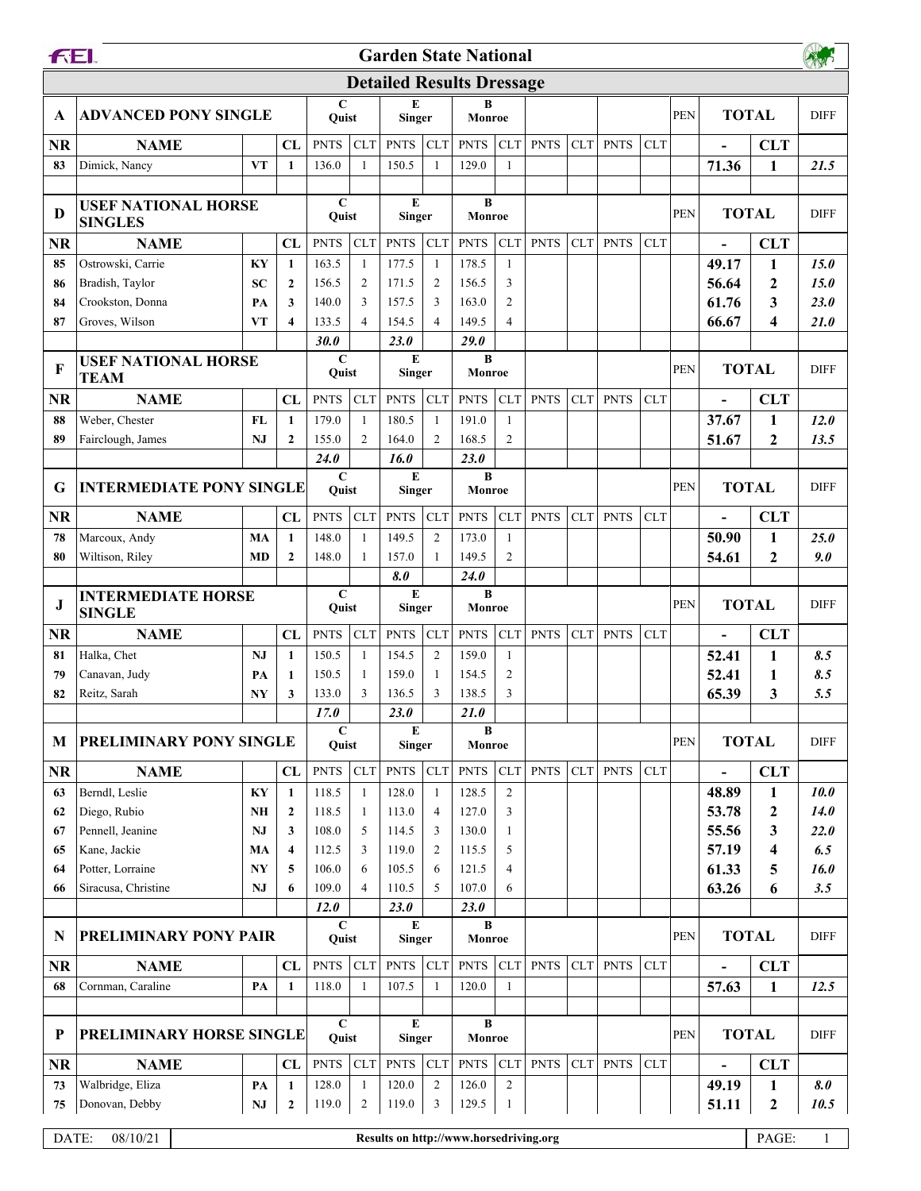|                                  | <b>FEI.</b><br><b>Garden State National</b>  |                |                                  |                      |                                |                    |                     |                |                     |             |            |             |            |            |                          |                              |             |
|----------------------------------|----------------------------------------------|----------------|----------------------------------|----------------------|--------------------------------|--------------------|---------------------|----------------|---------------------|-------------|------------|-------------|------------|------------|--------------------------|------------------------------|-------------|
| <b>Detailed Results Dressage</b> |                                              |                |                                  |                      |                                |                    |                     |                |                     |             |            |             |            |            |                          |                              |             |
| A                                | <b>ADVANCED PONY SINGLE</b>                  |                |                                  | $\mathbf C$<br>Ouist |                                | E<br><b>Singer</b> |                     | B<br>Monroe    |                     |             |            |             |            | PEN        |                          | <b>TOTAL</b>                 | <b>DIFF</b> |
| <b>NR</b>                        | <b>NAME</b>                                  |                | CL                               | <b>PNTS</b>          | <b>CLT</b>                     | <b>PNTS</b>        | CLT                 | <b>PNTS</b>    | <b>CLT</b>          | <b>PNTS</b> | <b>CLT</b> | <b>PNTS</b> | <b>CLT</b> |            |                          | <b>CLT</b>                   |             |
| 83                               | Dimick, Nancy                                | VT             | 1                                | 136.0                | 1                              | 150.5              | -1                  | 129.0          | 1                   |             |            |             |            |            | 71.36                    | $\mathbf{1}$                 | 21.5        |
| D                                | <b>USEF NATIONAL HORSE</b><br><b>SINGLES</b> |                |                                  | $\mathbf C$<br>Quist |                                | E<br><b>Singer</b> |                     | B<br>Monroe    |                     |             |            |             |            | PEN        | <b>TOTAL</b>             |                              | <b>DIFF</b> |
| <b>NR</b>                        | <b>NAME</b>                                  |                | CL                               | <b>PNTS</b>          | <b>CLT</b>                     | <b>PNTS</b>        | <b>CLT</b>          | <b>PNTS</b>    | <b>CLT</b>          | <b>PNTS</b> | <b>CLT</b> | <b>PNTS</b> | <b>CLT</b> |            |                          | <b>CLT</b>                   |             |
| 85                               | Ostrowski, Carrie                            | KY             | 1                                | 163.5                | $\mathbf{1}$                   | 177.5              | 1                   | 178.5          | $\mathbf{1}$        |             |            |             |            |            | 49.17                    | $\mathbf{1}$                 | 15.0        |
| 86                               | Bradish, Taylor                              | SС             | 2                                | 156.5                | $\overline{2}$                 | 171.5              | $\overline{c}$      | 156.5          | 3                   |             |            |             |            |            | 56.64                    | $\mathbf{2}$                 | 15.0        |
| 84                               | Crookston, Donna                             | PA             | 3                                | 140.0                | 3                              | 157.5              | 3                   | 163.0          | 2                   |             |            |             |            |            | 61.76                    | 3                            | 23.0        |
| 87                               | Groves, Wilson                               | VТ             | 4                                | 133.5                | 4                              | 154.5              | 4                   | 149.5          | $\overline{4}$      |             |            |             |            |            | 66.67                    | 4                            | <b>21.0</b> |
|                                  |                                              |                |                                  | 30.0                 |                                | 23.0               |                     | <b>29.0</b>    |                     |             |            |             |            |            |                          |                              |             |
| F                                | <b>USEF NATIONAL HORSE</b><br>TEAM           |                |                                  | $\mathbf C$<br>Quist |                                | E<br><b>Singer</b> |                     | B<br>Monroe    |                     |             |            |             |            | PEN        | <b>TOTAL</b>             |                              | <b>DIFF</b> |
| <b>NR</b>                        | <b>NAME</b>                                  |                | CL                               | <b>PNTS</b>          | <b>CLT</b>                     | <b>PNTS</b>        | <b>CLT</b>          | <b>PNTS</b>    | <b>CLT</b>          | <b>PNTS</b> | CLT        | <b>PNTS</b> | <b>CLT</b> |            |                          | <b>CLT</b>                   |             |
| 88                               | Weber, Chester                               | FL             | $\mathbf{1}$                     | 179.0                | -1                             | 180.5              | -1                  | 191.0          | $\mathbf{1}$        |             |            |             |            |            | 37.67                    | $\mathbf{1}$                 | 12.0        |
| 89                               | Fairclough, James                            | NJ             | $\mathbf{2}$                     | 155.0                | $\overline{c}$                 | 164.0              | $\overline{2}$      | 168.5          | 2                   |             |            |             |            |            | 51.67                    | $\mathbf{2}$                 | 13.5        |
|                                  |                                              |                |                                  | 24.0                 |                                | 16.0               |                     | 23.0           |                     |             |            |             |            |            |                          |                              |             |
| G                                | <b>INTERMEDIATE PONY SINGLE</b>              |                |                                  | $\mathbf C$<br>Quist |                                | E<br><b>Singer</b> |                     | B<br>Monroe    |                     |             |            |             |            | <b>PEN</b> | <b>TOTAL</b>             |                              | <b>DIFF</b> |
| <b>NR</b>                        | <b>NAME</b>                                  |                | CL                               | <b>PNTS</b>          | <b>CLT</b>                     | <b>PNTS</b>        | CLT                 | <b>PNTS</b>    | <b>CLT</b>          | <b>PNTS</b> | CLT        | <b>PNTS</b> | <b>CLT</b> |            |                          | <b>CLT</b>                   |             |
| 78                               | Marcoux, Andy                                | MA             | 1                                | 148.0                | 1                              | 149.5              | $\overline{2}$      | 173.0          | 1                   |             |            |             |            |            | 50.90                    | $\mathbf{1}$                 | 25.0        |
| 80                               | Wiltison, Riley                              | MD             | $\boldsymbol{2}$                 | 148.0                | 1                              | 157.0              | -1                  | 149.5          | 2                   |             |            |             |            |            | 54.61                    | $\mathbf{2}$                 | 9.0         |
|                                  |                                              |                |                                  |                      |                                | 8.0                |                     | 24.0           |                     |             |            |             |            |            |                          |                              |             |
| J                                | <b>INTERMEDIATE HORSE</b><br><b>SINGLE</b>   |                |                                  | $\mathbf C$<br>Quist |                                | E<br><b>Singer</b> |                     | B<br>Monroe    |                     |             |            |             |            | PEN        | <b>TOTAL</b>             |                              | <b>DIFF</b> |
|                                  |                                              |                |                                  |                      |                                |                    |                     |                |                     |             |            |             |            |            |                          |                              |             |
| <b>NR</b>                        | <b>NAME</b>                                  |                | CL                               | <b>PNTS</b>          | <b>CLT</b>                     | <b>PNTS</b>        | CLT                 | <b>PNTS</b>    | <b>CLT</b>          | <b>PNTS</b> | <b>CLT</b> | <b>PNTS</b> | <b>CLT</b> |            | $\overline{\phantom{0}}$ | <b>CLT</b>                   |             |
| 81                               | Halka, Chet                                  | NJ             | 1                                | 150.5                | -1                             | 154.5              | $\overline{2}$      | 159.0          | 1                   |             |            |             |            |            | 52.41                    | 1                            | 8.5         |
| 79                               | Canavan, Judy                                | PA             | 1                                | 150.5                | 1                              | 159.0              | -1                  | 154.5          | 2                   |             |            |             |            |            | 52.41                    | 1                            | 8.5         |
| 82                               | Reitz, Sarah                                 | NY             | 3                                | 133.0                | 3                              | 136.5              | 3                   | 138.5          | 3                   |             |            |             |            |            | 65.39                    | 3                            | 5.5         |
|                                  |                                              |                |                                  | 17.0                 |                                | 23.0               |                     | 21.0           |                     |             |            |             |            |            |                          |                              |             |
| М                                | <b>PRELIMINARY PONY SINGLE</b>               |                |                                  | $\mathbf C$<br>Quist |                                | E<br><b>Singer</b> |                     | B<br>Monroe    |                     |             |            |             |            | <b>PEN</b> | <b>TOTAL</b>             |                              | <b>DIFF</b> |
| <b>NR</b>                        | <b>NAME</b>                                  |                | CL                               | <b>PNTS</b>          | <b>CLT</b>                     | <b>PNTS</b>        | CLT                 | <b>PNTS</b>    | <b>CLT</b>          | <b>PNTS</b> | <b>CLT</b> | <b>PNTS</b> | <b>CLT</b> |            |                          | <b>CLT</b>                   |             |
| 63                               | Berndl, Leslie                               | KY             | 1                                | 118.5                | $\mathbf{1}$                   | 128.0              | $\mathbf{1}$        | 128.5          | 2                   |             |            |             |            |            | 48.89                    | 1                            | 10.0        |
| 62                               | Diego, Rubio                                 | NH             | $\boldsymbol{2}$                 | 118.5                | -1                             | 113.0              | 4                   | 127.0          | 3                   |             |            |             |            |            | 53.78                    | $\boldsymbol{2}$             | 14.0        |
| 67                               | Pennell, Jeanine                             | NJ             | 3                                | 108.0                | 5                              | 114.5              | 3                   | 130.0          | 1                   |             |            |             |            |            | 55.56                    | 3                            | 22.0        |
| 65                               | Kane, Jackie                                 | MA             | $\overline{\mathbf{4}}$          | 112.5                | 3                              | 119.0              | 2                   | 115.5          | 5                   |             |            |             |            |            | 57.19                    | $\overline{\mathbf{4}}$      | 6.5         |
| 64                               | Potter, Lorraine                             | N <sub>Y</sub> | 5                                | 106.0                | 6                              | 105.5              | 6                   | 121.5          | 4                   |             |            |             |            |            | 61.33                    | 5                            | 16.0        |
| 66                               | Siracusa, Christine                          | NJ             | 6                                | 109.0                | $\overline{4}$                 | 110.5              | 5                   | 107.0          | 6                   |             |            |             |            |            | 63.26                    | 6                            | 3.5         |
| N                                |                                              |                |                                  | 12.0<br>C            |                                | 23.0<br>E          |                     | 23.0<br>B      |                     |             |            |             |            | <b>PEN</b> |                          |                              | <b>DIFF</b> |
|                                  | PRELIMINARY PONY PAIR                        |                |                                  | Quist                |                                | <b>Singer</b>      |                     | Monroe         |                     |             |            |             |            |            | <b>TOTAL</b>             |                              |             |
| <b>NR</b>                        | <b>NAME</b>                                  |                | CL                               | <b>PNTS</b>          | <b>CLT</b>                     | <b>PNTS</b>        | CLT                 | <b>PNTS</b>    | <b>CLT</b>          | <b>PNTS</b> | CLT        | <b>PNTS</b> | <b>CLT</b> |            |                          | <b>CLT</b>                   |             |
| 68                               | Cornman, Caraline                            | PA             | 1                                | 118.0                | 1                              | 107.5              | 1                   | 120.0          | 1                   |             |            |             |            |            | 57.63                    | $\mathbf{1}$                 | 12.5        |
| $\mathbf P$                      | PRELIMINARY HORSE SINGLE                     |                |                                  | $\mathbf C$<br>Quist |                                | E<br><b>Singer</b> |                     | B<br>Monroe    |                     |             |            |             |            | PEN        | <b>TOTAL</b>             |                              | <b>DIFF</b> |
|                                  |                                              |                |                                  |                      |                                |                    |                     |                |                     |             |            |             |            |            |                          |                              |             |
| NR                               | <b>NAME</b>                                  |                | CL                               | <b>PNTS</b>          | CLT                            | <b>PNTS</b>        | CLT                 | <b>PNTS</b>    | <b>CLT</b>          | <b>PNTS</b> | CLT        | <b>PNTS</b> | <b>CLT</b> |            | $\overline{\phantom{0}}$ | <b>CLT</b>                   |             |
| 73<br>75                         | Walbridge, Eliza<br>Donovan, Debby           | PA<br>NJ       | $\mathbf{1}$<br>$\boldsymbol{2}$ | 128.0<br>119.0       | $\mathbf{1}$<br>$\overline{2}$ | 120.0<br>119.0     | $\overline{2}$<br>3 | 126.0<br>129.5 | $\overline{2}$<br>1 |             |            |             |            |            | 49.19<br>51.11           | $\mathbf{1}$<br>$\mathbf{2}$ | 8.0<br>10.5 |